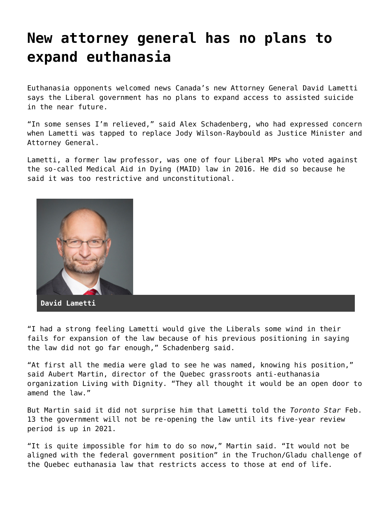## **[New attorney general has no plans to](https://grandinmedia.ca/new-attorney-general-no-plans-expand-euthanasia/) [expand euthanasia](https://grandinmedia.ca/new-attorney-general-no-plans-expand-euthanasia/)**

Euthanasia opponents welcomed news Canada's new Attorney General David Lametti says the Liberal government has no plans to expand access to assisted suicide in the near future.

"In some senses I'm relieved," said Alex Schadenberg, who had expressed concern when Lametti was tapped to replace Jody Wilson-Raybould as Justice Minister and Attorney General.

Lametti, a former law professor, was one of four Liberal MPs who voted against the so-called Medical Aid in Dying (MAID) law in 2016. He did so because he said it was too restrictive and unconstitutional.



"I had a strong feeling Lametti would give the Liberals some wind in their fails for expansion of the law because of his previous positioning in saying the law did not go far enough," Schadenberg said.

"At first all the media were glad to see he was named, knowing his position," said Aubert Martin, director of the Quebec grassroots anti-euthanasia organization Living with Dignity. "They all thought it would be an open door to amend the law."

But Martin said it did not surprise him that Lametti told the *Toronto Star* Feb. 13 the government will not be re-opening the law until its five-year review period is up in 2021.

"It is quite impossible for him to do so now," Martin said. "It would not be aligned with the federal government position" in the Truchon/Gladu challenge of the Quebec euthanasia law that restricts access to those at end of life.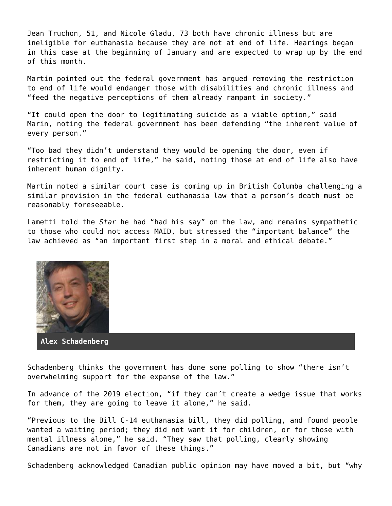Jean Truchon, 51, and Nicole Gladu, 73 both have chronic illness but are ineligible for euthanasia because they are not at end of life. Hearings began in this case at the beginning of January and are expected to wrap up by the end of this month.

Martin pointed out the federal government has argued removing the restriction to end of life would endanger those with disabilities and chronic illness and "feed the negative perceptions of them already rampant in society."

"It could open the door to legitimating suicide as a viable option," said Marin, noting the federal government has been defending "the inherent value of every person."

"Too bad they didn't understand they would be opening the door, even if restricting it to end of life," he said, noting those at end of life also have inherent human dignity.

Martin noted a similar court case is coming up in British Columba challenging a similar provision in the federal euthanasia law that a person's death must be reasonably foreseeable.

Lametti told the *Star* he had "had his say" on the law, and remains sympathetic to those who could not access MAID, but stressed the "important balance" the law achieved as "an important first step in a moral and ethical debate."



**Alex Schadenberg**

Schadenberg thinks the government has done some polling to show "there isn't overwhelming support for the expanse of the law."

In advance of the 2019 election, "if they can't create a wedge issue that works for them, they are going to leave it alone," he said.

"Previous to the Bill C-14 euthanasia bill, they did polling, and found people wanted a waiting period; they did not want it for children, or for those with mental illness alone," he said. "They saw that polling, clearly showing Canadians are not in favor of these things."

Schadenberg acknowledged Canadian public opinion may have moved a bit, but "why